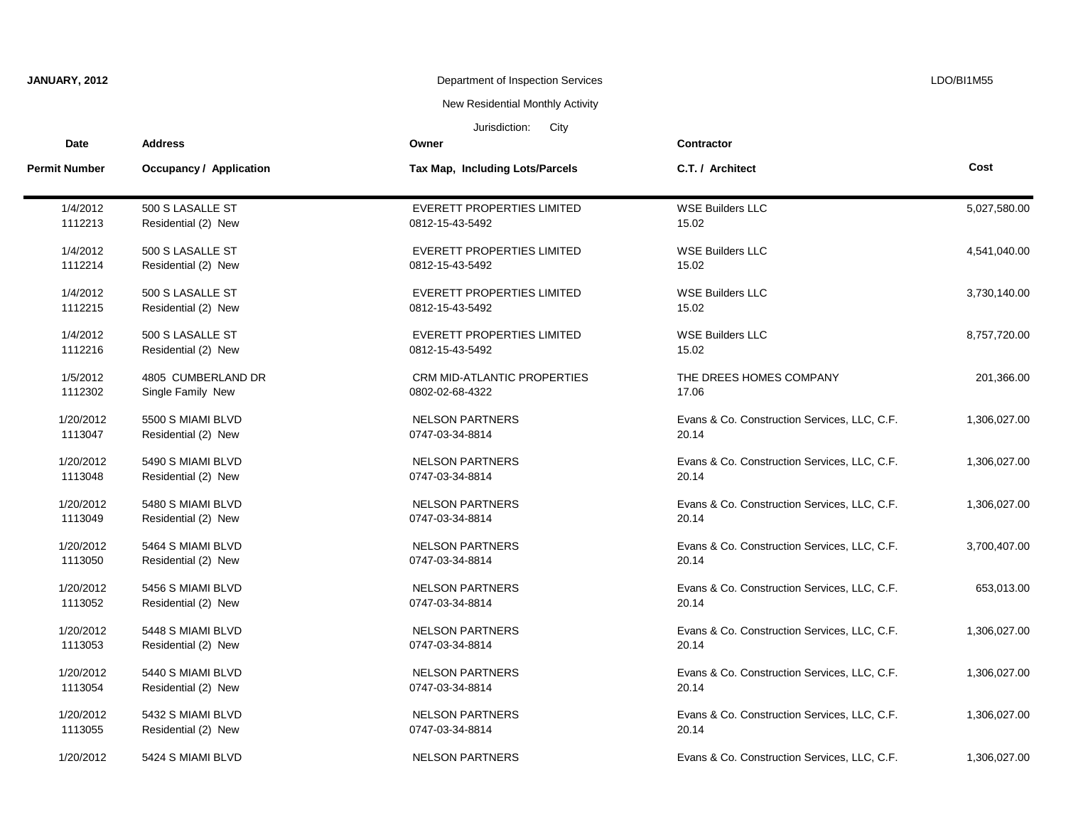| JANUARY, 2012         |                         | Department of Inspection Services<br>New Residential Monthly Activity |                                              | LDO/BI1M55   |  |
|-----------------------|-------------------------|-----------------------------------------------------------------------|----------------------------------------------|--------------|--|
|                       |                         |                                                                       |                                              |              |  |
| Jurisdiction:<br>City |                         |                                                                       |                                              |              |  |
| <b>Date</b>           | <b>Address</b>          | Owner                                                                 | <b>Contractor</b>                            |              |  |
| <b>Permit Number</b>  | Occupancy / Application | Tax Map, Including Lots/Parcels                                       | C.T. / Architect                             | Cost         |  |
| 1/4/2012              | 500 S LASALLE ST        | <b>EVERETT PROPERTIES LIMITED</b>                                     | <b>WSE Builders LLC</b>                      | 5,027,580.00 |  |
| 1112213               | Residential (2) New     | 0812-15-43-5492                                                       | 15.02                                        |              |  |
| 1/4/2012              | 500 S LASALLE ST        | <b>EVERETT PROPERTIES LIMITED</b>                                     | <b>WSE Builders LLC</b>                      | 4,541,040.00 |  |
| 1112214               | Residential (2) New     | 0812-15-43-5492                                                       | 15.02                                        |              |  |
| 1/4/2012              | 500 S LASALLE ST        | EVERETT PROPERTIES LIMITED                                            | <b>WSE Builders LLC</b>                      | 3,730,140.00 |  |
| 1112215               | Residential (2) New     | 0812-15-43-5492                                                       | 15.02                                        |              |  |
| 1/4/2012              | 500 S LASALLE ST        | <b>EVERETT PROPERTIES LIMITED</b>                                     | <b>WSE Builders LLC</b>                      | 8,757,720.00 |  |
| 1112216               | Residential (2) New     | 0812-15-43-5492                                                       | 15.02                                        |              |  |
| 1/5/2012              | 4805 CUMBERLAND DR      | <b>CRM MID-ATLANTIC PROPERTIES</b>                                    | THE DREES HOMES COMPANY                      | 201,366.00   |  |
| 1112302               | Single Family New       | 0802-02-68-4322                                                       | 17.06                                        |              |  |
| 1/20/2012             | 5500 S MIAMI BLVD       | <b>NELSON PARTNERS</b>                                                | Evans & Co. Construction Services, LLC, C.F. | 1,306,027.00 |  |
| 1113047               | Residential (2) New     | 0747-03-34-8814                                                       | 20.14                                        |              |  |
| 1/20/2012             | 5490 S MIAMI BLVD       | <b>NELSON PARTNERS</b>                                                | Evans & Co. Construction Services, LLC, C.F. | 1,306,027.00 |  |
| 1113048               | Residential (2) New     | 0747-03-34-8814                                                       | 20.14                                        |              |  |
| 1/20/2012             | 5480 S MIAMI BLVD       | <b>NELSON PARTNERS</b>                                                | Evans & Co. Construction Services, LLC, C.F. | 1,306,027.00 |  |
| 1113049               | Residential (2) New     | 0747-03-34-8814                                                       | 20.14                                        |              |  |
| 1/20/2012             | 5464 S MIAMI BLVD       | <b>NELSON PARTNERS</b>                                                | Evans & Co. Construction Services, LLC, C.F. | 3,700,407.00 |  |
| 1113050               | Residential (2) New     | 0747-03-34-8814                                                       | 20.14                                        |              |  |
| 1/20/2012             | 5456 S MIAMI BLVD       | <b>NELSON PARTNERS</b>                                                | Evans & Co. Construction Services, LLC, C.F. | 653,013.00   |  |
| 1113052               | Residential (2) New     | 0747-03-34-8814                                                       | 20.14                                        |              |  |
| 1/20/2012             | 5448 S MIAMI BLVD       | <b>NELSON PARTNERS</b>                                                | Evans & Co. Construction Services, LLC, C.F. | 1,306,027.00 |  |
| 1113053               | Residential (2) New     | 0747-03-34-8814                                                       | 20.14                                        |              |  |
| 1/20/2012             | 5440 S MIAMI BLVD       | <b>NELSON PARTNERS</b>                                                | Evans & Co. Construction Services, LLC, C.F. | 1,306,027.00 |  |
| 1113054               | Residential (2) New     | 0747-03-34-8814                                                       | 20.14                                        |              |  |
| 1/20/2012             | 5432 S MIAMI BLVD       | <b>NELSON PARTNERS</b>                                                | Evans & Co. Construction Services, LLC, C.F. | 1,306,027.00 |  |
| 1113055               | Residential (2) New     | 0747-03-34-8814                                                       | 20.14                                        |              |  |
| 1/20/2012             | 5424 S MIAMI BLVD       | <b>NELSON PARTNERS</b>                                                | Evans & Co. Construction Services, LLC, C.F. | 1,306,027.00 |  |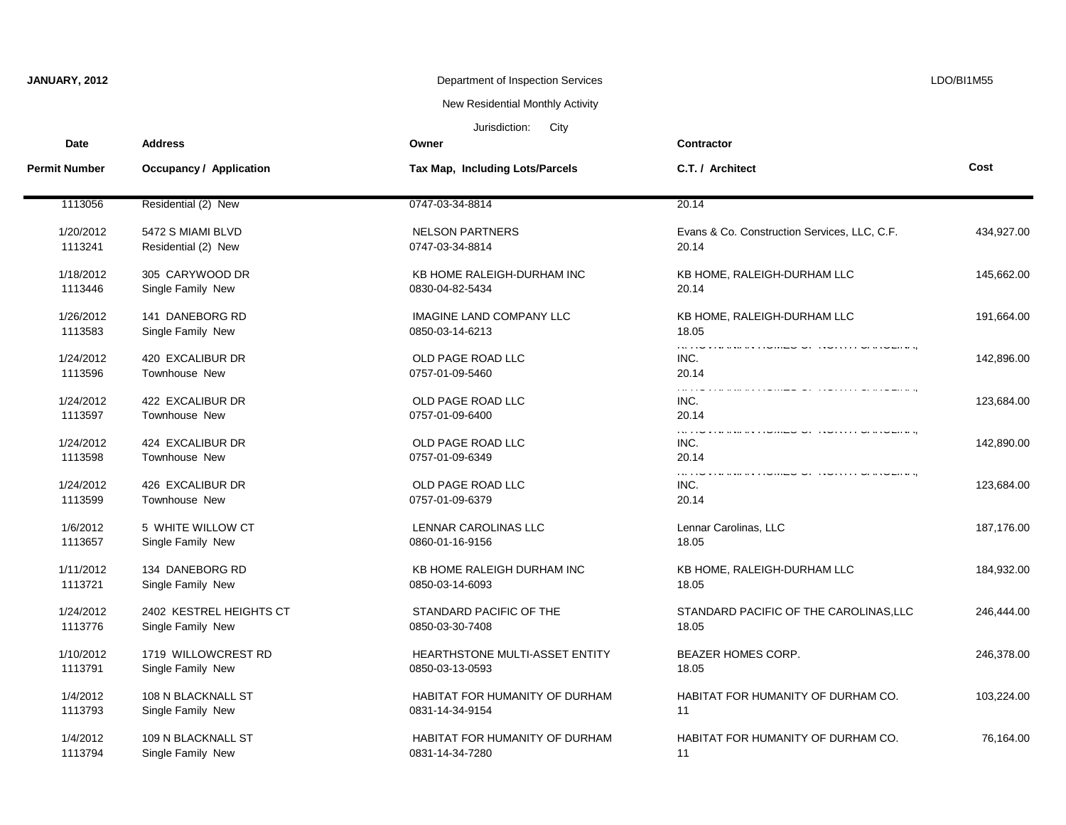| JANUARY, 2012        |                                              | Department of Inspection Services                        |                                                                                                                                                   | LDO/BI1M55 |  |  |
|----------------------|----------------------------------------------|----------------------------------------------------------|---------------------------------------------------------------------------------------------------------------------------------------------------|------------|--|--|
|                      |                                              | New Residential Monthly Activity                         |                                                                                                                                                   |            |  |  |
|                      | Jurisdiction:<br>City                        |                                                          |                                                                                                                                                   |            |  |  |
| Date                 | <b>Address</b>                               | Owner                                                    | Contractor                                                                                                                                        |            |  |  |
| <b>Permit Number</b> | <b>Occupancy / Application</b>               | Tax Map, Including Lots/Parcels                          | C.T. / Architect                                                                                                                                  | Cost       |  |  |
| 1113056              | Residential (2) New                          | 0747-03-34-8814                                          | 20.14                                                                                                                                             |            |  |  |
| 1/20/2012<br>1113241 | 5472 S MIAMI BLVD<br>Residential (2) New     | <b>NELSON PARTNERS</b><br>0747-03-34-8814                | Evans & Co. Construction Services, LLC, C.F.<br>20.14                                                                                             | 434,927.00 |  |  |
| 1/18/2012<br>1113446 | 305 CARYWOOD DR<br>Single Family New         | KB HOME RALEIGH-DURHAM INC<br>0830-04-82-5434            | KB HOME, RALEIGH-DURHAM LLC<br>20.14                                                                                                              | 145,662.00 |  |  |
| 1/26/2012<br>1113583 | 141 DANEBORG RD<br>Single Family New         | <b>IMAGINE LAND COMPANY LLC</b><br>0850-03-14-6213       | KB HOME, RALEIGH-DURHAM LLC<br>18.05                                                                                                              | 191,664.00 |  |  |
| 1/24/2012<br>1113596 | 420 EXCALIBUR DR<br>Townhouse New            | OLD PAGE ROAD LLC<br>0757-01-09-5460                     | na riv rivaana aliisimed di sidiinin dialdemag<br>INC.<br>20.14                                                                                   | 142,896.00 |  |  |
| 1/24/2012<br>1113597 | 422 EXCALIBUR DR<br>Townhouse New            | OLD PAGE ROAD LLC<br>0757-01-09-6400                     | INC.<br>20.14                                                                                                                                     | 123,684.00 |  |  |
| 1/24/2012<br>1113598 | 424 EXCALIBUR DR<br><b>Townhouse New</b>     | OLD PAGE ROAD LLC<br>0757-01-09-6349                     | is inversion a computer or produce was produced<br>INC.<br>20.14                                                                                  | 142,890.00 |  |  |
| 1/24/2012<br>1113599 | 426 EXCALIBUR DR<br><b>Townhouse New</b>     | OLD PAGE ROAD LLC<br>0757-01-09-6379                     | a construction de la companyation de la construction de la construction de la construction de la construction<br>المدادات المداد<br>INC.<br>20.14 | 123,684.00 |  |  |
| 1/6/2012<br>1113657  | 5 WHITE WILLOW CT<br>Single Family New       | LENNAR CAROLINAS LLC<br>0860-01-16-9156                  | Lennar Carolinas, LLC<br>18.05                                                                                                                    | 187,176.00 |  |  |
| 1/11/2012<br>1113721 | 134 DANEBORG RD<br>Single Family New         | KB HOME RALEIGH DURHAM INC<br>0850-03-14-6093            | KB HOME, RALEIGH-DURHAM LLC<br>18.05                                                                                                              | 184,932.00 |  |  |
| 1/24/2012<br>1113776 | 2402 KESTREL HEIGHTS CT<br>Single Family New | STANDARD PACIFIC OF THE<br>0850-03-30-7408               | STANDARD PACIFIC OF THE CAROLINAS, LLC<br>18.05                                                                                                   | 246,444.00 |  |  |
| 1/10/2012<br>1113791 | 1719 WILLOWCREST RD<br>Single Family New     | HEARTHSTONE MULTI-ASSET ENTITY<br>0850-03-13-0593        | <b>BEAZER HOMES CORP.</b><br>18.05                                                                                                                | 246,378.00 |  |  |
| 1/4/2012<br>1113793  | 108 N BLACKNALL ST<br>Single Family New      | <b>HABITAT FOR HUMANITY OF DURHAM</b><br>0831-14-34-9154 | HABITAT FOR HUMANITY OF DURHAM CO.<br>11                                                                                                          | 103,224.00 |  |  |
| 1/4/2012<br>1113794  | 109 N BLACKNALL ST<br>Single Family New      | HABITAT FOR HUMANITY OF DURHAM<br>0831-14-34-7280        | HABITAT FOR HUMANITY OF DURHAM CO.<br>11                                                                                                          | 76,164.00  |  |  |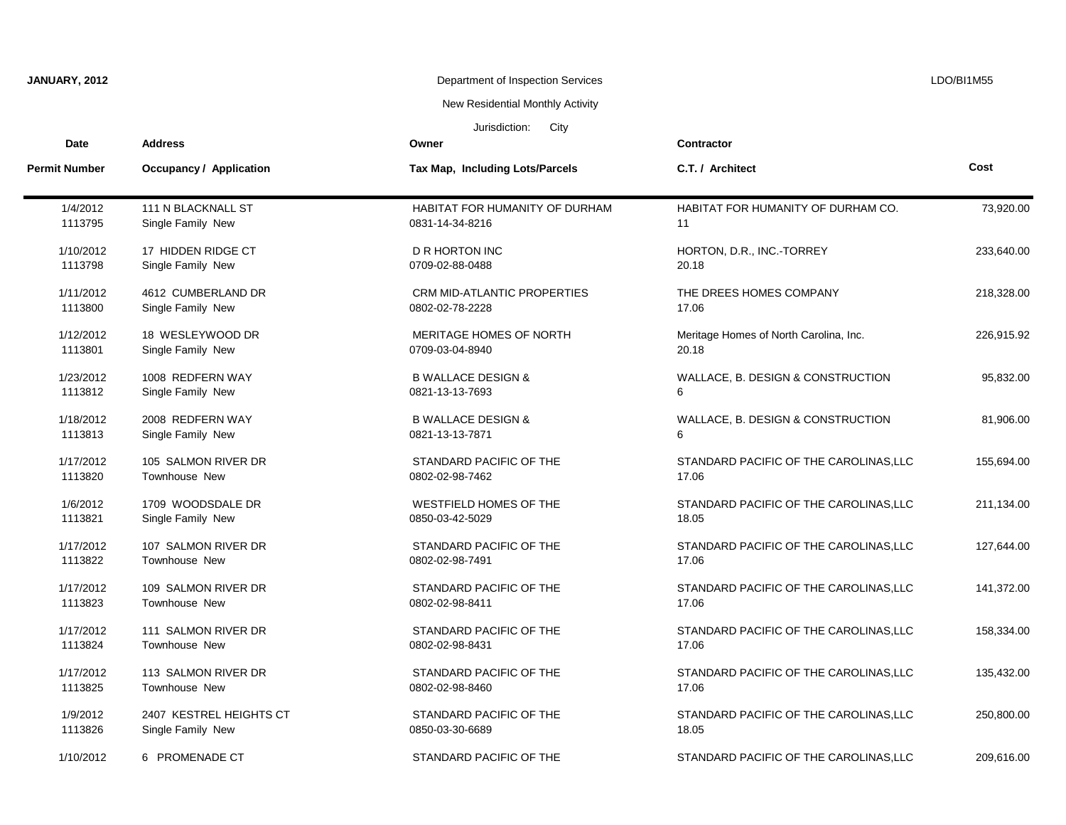| JANUARY, 2012         |                                  | Department of Inspection Services     |                                        | LDO/BI1M55 |  |
|-----------------------|----------------------------------|---------------------------------------|----------------------------------------|------------|--|
|                       | New Residential Monthly Activity |                                       |                                        |            |  |
| Jurisdiction:<br>City |                                  |                                       |                                        |            |  |
| <b>Date</b>           | <b>Address</b>                   | Owner                                 | <b>Contractor</b>                      |            |  |
| <b>Permit Number</b>  | Occupancy / Application          | Tax Map, Including Lots/Parcels       | C.T. / Architect                       | Cost       |  |
| 1/4/2012              | 111 N BLACKNALL ST               | <b>HABITAT FOR HUMANITY OF DURHAM</b> | HABITAT FOR HUMANITY OF DURHAM CO.     | 73,920.00  |  |
| 1113795               | Single Family New                | 0831-14-34-8216                       | 11                                     |            |  |
| 1/10/2012             | 17 HIDDEN RIDGE CT               | <b>D R HORTON INC</b>                 | HORTON, D.R., INC.-TORREY              | 233,640.00 |  |
| 1113798               | Single Family New                | 0709-02-88-0488                       | 20.18                                  |            |  |
| 1/11/2012             | 4612 CUMBERLAND DR               | CRM MID-ATLANTIC PROPERTIES           | THE DREES HOMES COMPANY                | 218,328.00 |  |
| 1113800               | Single Family New                | 0802-02-78-2228                       | 17.06                                  |            |  |
| 1/12/2012             | 18 WESLEYWOOD DR                 | MERITAGE HOMES OF NORTH               | Meritage Homes of North Carolina, Inc. | 226,915.92 |  |
| 1113801               | Single Family New                | 0709-03-04-8940                       | 20.18                                  |            |  |
| 1/23/2012             | 1008 REDFERN WAY                 | <b>B WALLACE DESIGN &amp;</b>         | WALLACE, B. DESIGN & CONSTRUCTION      | 95,832.00  |  |
| 1113812               | Single Family New                | 0821-13-13-7693                       | 6                                      |            |  |
| 1/18/2012             | 2008 REDFERN WAY                 | <b>B WALLACE DESIGN &amp;</b>         | WALLACE, B. DESIGN & CONSTRUCTION      | 81,906.00  |  |
| 1113813               | Single Family New                | 0821-13-13-7871                       | 6                                      |            |  |
| 1/17/2012             | 105 SALMON RIVER DR              | STANDARD PACIFIC OF THE               | STANDARD PACIFIC OF THE CAROLINAS, LLC | 155,694.00 |  |
| 1113820               | Townhouse New                    | 0802-02-98-7462                       | 17.06                                  |            |  |
| 1/6/2012              | 1709 WOODSDALE DR                | WESTFIELD HOMES OF THE                | STANDARD PACIFIC OF THE CAROLINAS, LLC | 211,134.00 |  |
| 1113821               | Single Family New                | 0850-03-42-5029                       | 18.05                                  |            |  |
| 1/17/2012             | 107 SALMON RIVER DR              | STANDARD PACIFIC OF THE               | STANDARD PACIFIC OF THE CAROLINAS, LLC | 127,644.00 |  |
| 1113822               | Townhouse New                    | 0802-02-98-7491                       | 17.06                                  |            |  |
| 1/17/2012             | 109 SALMON RIVER DR              | STANDARD PACIFIC OF THE               | STANDARD PACIFIC OF THE CAROLINAS, LLC | 141,372.00 |  |
| 1113823               | <b>Townhouse New</b>             | 0802-02-98-8411                       | 17.06                                  |            |  |
| 1/17/2012             | 111 SALMON RIVER DR              | STANDARD PACIFIC OF THE               | STANDARD PACIFIC OF THE CAROLINAS, LLC | 158,334.00 |  |
| 1113824               | <b>Townhouse New</b>             | 0802-02-98-8431                       | 17.06                                  |            |  |
| 1/17/2012             | 113 SALMON RIVER DR              | STANDARD PACIFIC OF THE               | STANDARD PACIFIC OF THE CAROLINAS, LLC | 135,432.00 |  |
| 1113825               | <b>Townhouse New</b>             | 0802-02-98-8460                       | 17.06                                  |            |  |
| 1/9/2012              | 2407 KESTREL HEIGHTS CT          | STANDARD PACIFIC OF THE               | STANDARD PACIFIC OF THE CAROLINAS, LLC | 250,800.00 |  |
| 1113826               | Single Family New                | 0850-03-30-6689                       | 18.05                                  |            |  |
| 1/10/2012             | 6 PROMENADE CT                   | STANDARD PACIFIC OF THE               | STANDARD PACIFIC OF THE CAROLINAS, LLC | 209,616.00 |  |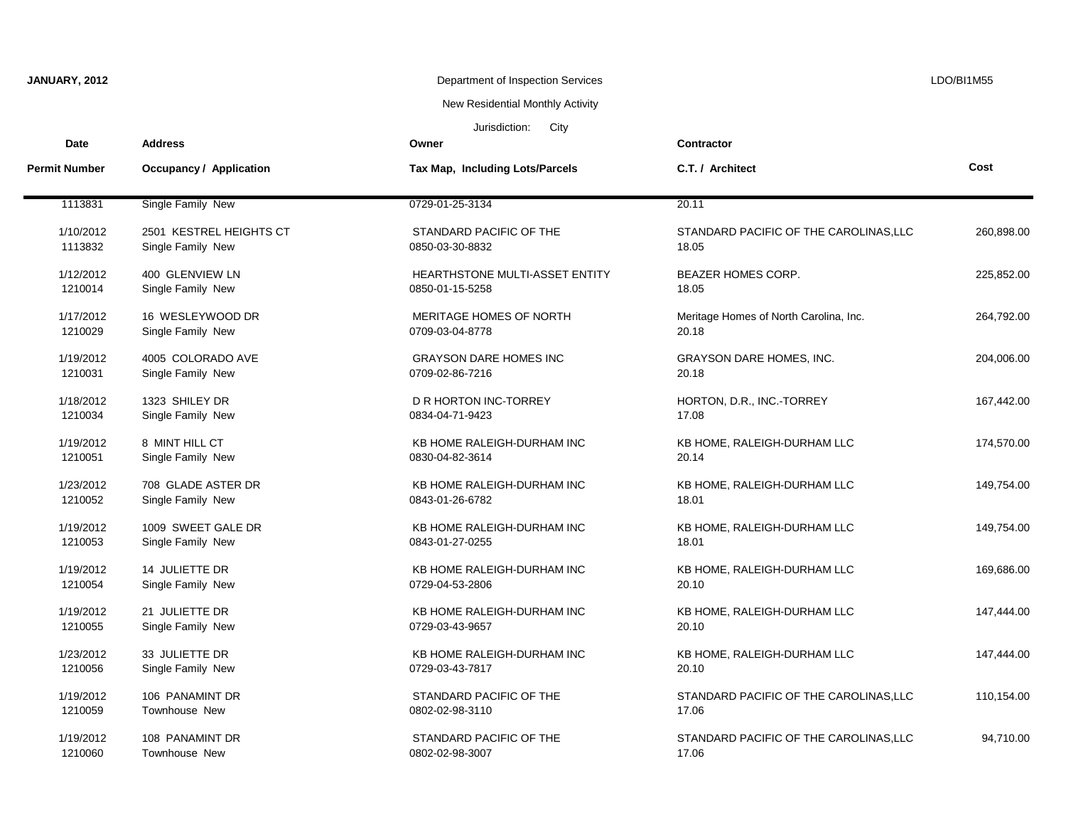| JANUARY, 2012        |                         | Department of Inspection Services |                                        | LDO/BI1M55 |
|----------------------|-------------------------|-----------------------------------|----------------------------------------|------------|
|                      |                         | New Residential Monthly Activity  |                                        |            |
|                      |                         | Jurisdiction:<br>City             |                                        |            |
| Date                 | <b>Address</b>          | Owner                             | Contractor                             |            |
| <b>Permit Number</b> | Occupancy / Application | Tax Map, Including Lots/Parcels   | C.T. / Architect                       | Cost       |
| 1113831              | Single Family New       | 0729-01-25-3134                   | 20.11                                  |            |
| 1/10/2012            | 2501 KESTREL HEIGHTS CT | STANDARD PACIFIC OF THE           | STANDARD PACIFIC OF THE CAROLINAS, LLC | 260,898.00 |
| 1113832              | Single Family New       | 0850-03-30-8832                   | 18.05                                  |            |
| 1/12/2012            | 400 GLENVIEW LN         | HEARTHSTONE MULTI-ASSET ENTITY    | <b>BEAZER HOMES CORP.</b>              | 225,852.00 |
| 1210014              | Single Family New       | 0850-01-15-5258                   | 18.05                                  |            |
| 1/17/2012            | 16 WESLEYWOOD DR        | MERITAGE HOMES OF NORTH           | Meritage Homes of North Carolina, Inc. | 264,792.00 |
| 1210029              | Single Family New       | 0709-03-04-8778                   | 20.18                                  |            |
| 1/19/2012            | 4005 COLORADO AVE       | <b>GRAYSON DARE HOMES INC</b>     | <b>GRAYSON DARE HOMES, INC.</b>        | 204,006.00 |
| 1210031              | Single Family New       | 0709-02-86-7216                   | 20.18                                  |            |
| 1/18/2012            | 1323 SHILEY DR          | D R HORTON INC-TORREY             | HORTON, D.R., INC.-TORREY              | 167,442.00 |
| 1210034              | Single Family New       | 0834-04-71-9423                   | 17.08                                  |            |
| 1/19/2012            | 8 MINT HILL CT          | KB HOME RALEIGH-DURHAM INC        | KB HOME, RALEIGH-DURHAM LLC            | 174,570.00 |
| 1210051              | Single Family New       | 0830-04-82-3614                   | 20.14                                  |            |
| 1/23/2012            | 708 GLADE ASTER DR      | KB HOME RALEIGH-DURHAM INC        | KB HOME, RALEIGH-DURHAM LLC            | 149,754.00 |
| 1210052              | Single Family New       | 0843-01-26-6782                   | 18.01                                  |            |
| 1/19/2012            | 1009 SWEET GALE DR      | KB HOME RALEIGH-DURHAM INC        | KB HOME, RALEIGH-DURHAM LLC            | 149,754.00 |
| 1210053              | Single Family New       | 0843-01-27-0255                   | 18.01                                  |            |
| 1/19/2012            | 14 JULIETTE DR          | KB HOME RALEIGH-DURHAM INC        | KB HOME, RALEIGH-DURHAM LLC            | 169,686.00 |
| 1210054              | Single Family New       | 0729-04-53-2806                   | 20.10                                  |            |
| 1/19/2012            | 21 JULIETTE DR          | KB HOME RALEIGH-DURHAM INC        | KB HOME, RALEIGH-DURHAM LLC            | 147,444.00 |
| 1210055              | Single Family New       | 0729-03-43-9657                   | 20.10                                  |            |
| 1/23/2012            | 33 JULIETTE DR          | KB HOME RALEIGH-DURHAM INC        | KB HOME, RALEIGH-DURHAM LLC            | 147,444.00 |
| 1210056              | Single Family New       | 0729-03-43-7817                   | 20.10                                  |            |
| 1/19/2012            | 106 PANAMINT DR         | STANDARD PACIFIC OF THE           | STANDARD PACIFIC OF THE CAROLINAS, LLC | 110,154.00 |
| 1210059              | Townhouse New           | 0802-02-98-3110                   | 17.06                                  |            |
| 1/19/2012            | 108 PANAMINT DR         | STANDARD PACIFIC OF THE           | STANDARD PACIFIC OF THE CAROLINAS, LLC | 94,710.00  |
| 1210060              | <b>Townhouse New</b>    | 0802-02-98-3007                   | 17.06                                  |            |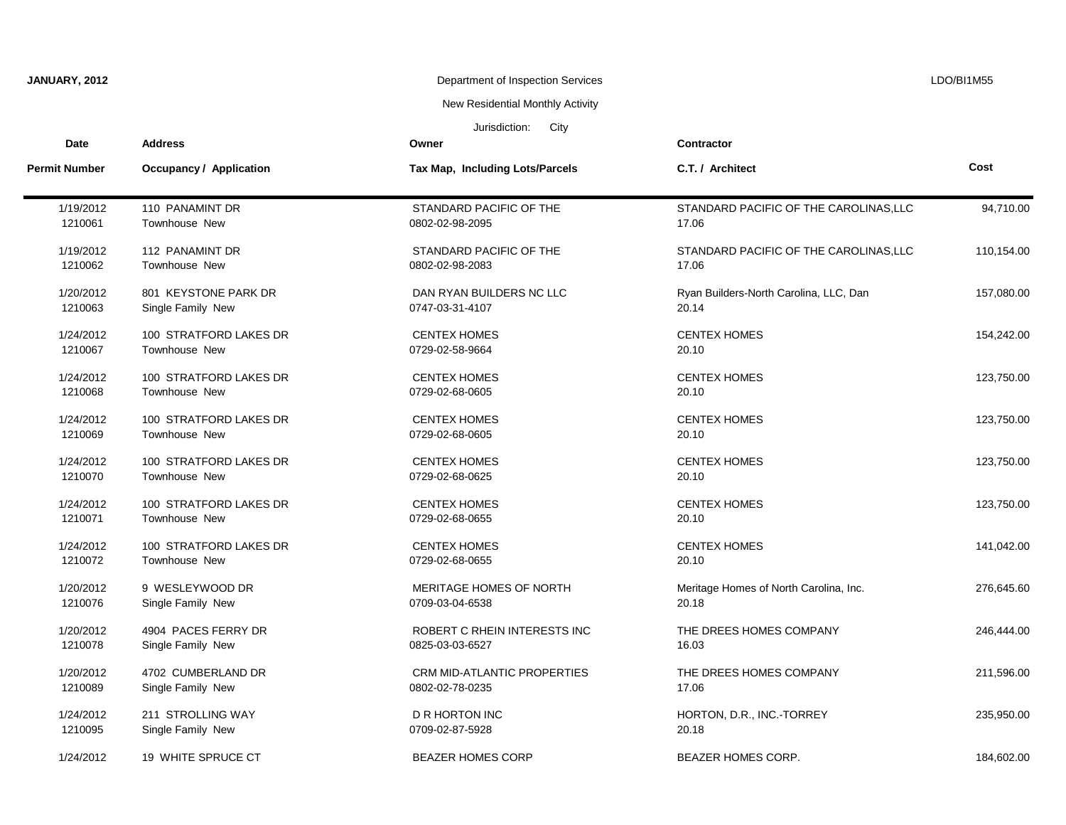| JANUARY, 2012         |                         | Department of Inspection Services |                                        | LDO/BI1M55 |  |  |
|-----------------------|-------------------------|-----------------------------------|----------------------------------------|------------|--|--|
|                       |                         | New Residential Monthly Activity  |                                        |            |  |  |
| Jurisdiction:<br>City |                         |                                   |                                        |            |  |  |
| <b>Date</b>           | <b>Address</b>          | Owner                             | <b>Contractor</b>                      |            |  |  |
| <b>Permit Number</b>  | Occupancy / Application | Tax Map, Including Lots/Parcels   | C.T. / Architect                       | Cost       |  |  |
| 1/19/2012             | 110 PANAMINT DR         | STANDARD PACIFIC OF THE           | STANDARD PACIFIC OF THE CAROLINAS, LLC | 94,710.00  |  |  |
| 1210061               | Townhouse New           | 0802-02-98-2095                   | 17.06                                  |            |  |  |
| 1/19/2012             | 112 PANAMINT DR         | STANDARD PACIFIC OF THE           | STANDARD PACIFIC OF THE CAROLINAS, LLC | 110,154.00 |  |  |
| 1210062               | <b>Townhouse New</b>    | 0802-02-98-2083                   | 17.06                                  |            |  |  |
| 1/20/2012             | 801 KEYSTONE PARK DR    | DAN RYAN BUILDERS NC LLC          | Ryan Builders-North Carolina, LLC, Dan | 157,080.00 |  |  |
| 1210063               | Single Family New       | 0747-03-31-4107                   | 20.14                                  |            |  |  |
| 1/24/2012             | 100 STRATFORD LAKES DR  | <b>CENTEX HOMES</b>               | <b>CENTEX HOMES</b>                    | 154,242.00 |  |  |
| 1210067               | <b>Townhouse New</b>    | 0729-02-58-9664                   | 20.10                                  |            |  |  |
| 1/24/2012             | 100 STRATFORD LAKES DR  | <b>CENTEX HOMES</b>               | <b>CENTEX HOMES</b>                    | 123,750.00 |  |  |
| 1210068               | Townhouse New           | 0729-02-68-0605                   | 20.10                                  |            |  |  |
| 1/24/2012             | 100 STRATFORD LAKES DR  | <b>CENTEX HOMES</b>               | <b>CENTEX HOMES</b>                    | 123,750.00 |  |  |
| 1210069               | Townhouse New           | 0729-02-68-0605                   | 20.10                                  |            |  |  |
| 1/24/2012             | 100 STRATFORD LAKES DR  | <b>CENTEX HOMES</b>               | <b>CENTEX HOMES</b>                    | 123,750.00 |  |  |
| 1210070               | Townhouse New           | 0729-02-68-0625                   | 20.10                                  |            |  |  |
| 1/24/2012             | 100 STRATFORD LAKES DR  | <b>CENTEX HOMES</b>               | <b>CENTEX HOMES</b>                    | 123,750.00 |  |  |
| 1210071               | Townhouse New           | 0729-02-68-0655                   | 20.10                                  |            |  |  |
| 1/24/2012             | 100 STRATFORD LAKES DR  | <b>CENTEX HOMES</b>               | <b>CENTEX HOMES</b>                    | 141,042.00 |  |  |
| 1210072               | Townhouse New           | 0729-02-68-0655                   | 20.10                                  |            |  |  |
| 1/20/2012             | 9 WESLEYWOOD DR         | MERITAGE HOMES OF NORTH           | Meritage Homes of North Carolina, Inc. | 276,645.60 |  |  |
| 1210076               | Single Family New       | 0709-03-04-6538                   | 20.18                                  |            |  |  |
| 1/20/2012             | 4904 PACES FERRY DR     | ROBERT C RHEIN INTERESTS INC      | THE DREES HOMES COMPANY                | 246,444.00 |  |  |
| 1210078               | Single Family New       | 0825-03-03-6527                   | 16.03                                  |            |  |  |
| 1/20/2012             | 4702 CUMBERLAND DR      | CRM MID-ATLANTIC PROPERTIES       | THE DREES HOMES COMPANY                | 211,596.00 |  |  |
| 1210089               | Single Family New       | 0802-02-78-0235                   | 17.06                                  |            |  |  |
| 1/24/2012             | 211 STROLLING WAY       | <b>D R HORTON INC</b>             | HORTON, D.R., INC.-TORREY              | 235,950.00 |  |  |
| 1210095               | Single Family New       | 0709-02-87-5928                   | 20.18                                  |            |  |  |
| 1/24/2012             | 19 WHITE SPRUCE CT      | <b>BEAZER HOMES CORP</b>          | <b>BEAZER HOMES CORP.</b>              | 184.602.00 |  |  |